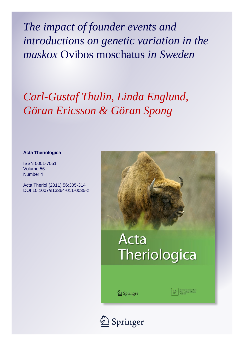*The impact of founder events and introductions on genetic variation in the muskox* Ovibos moschatus *in Sweden*

## *Carl-Gustaf Thulin, Linda Englund, Göran Ericsson & Göran Spong*

#### **Acta Theriologica**

ISSN 0001-7051 Volume 56 Number 4

Acta Theriol (2011) 56:305-314 DOI 10.1007/s13364-011-0035-z



# **Acta** Theriologica

2 Springer

Polish Academy of Science

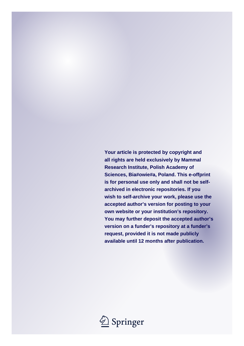**Your article is protected by copyright and all rights are held exclusively by Mammal Research Institute, Polish Academy of Sciences, Bia#owie#a, Poland. This e-offprint is for personal use only and shall not be selfarchived in electronic repositories. If you wish to self-archive your work, please use the accepted author's version for posting to your own website or your institution's repository. You may further deposit the accepted author's version on a funder's repository at a funder's request, provided it is not made publicly available until 12 months after publication.**

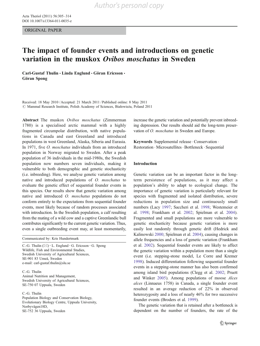ORIGINAL PAPER

### The impact of founder events and introductions on genetic variation in the muskox Ovibos moschatus in Sweden

Carl-Gustaf Thulin · Linda Englund · Göran Ericsson · Göran Spong

Received: 18 May 2010 /Accepted: 21 March 2011 / Published online: 8 May 2011  $\oslash$  Mammal Research Institute, Polish Academy of Sciences, Białowieża, Poland 2011

Abstract The muskox Ovibos moschatus (Zimmerman 1780) is a specialised arctic mammal with a highly fragmented circumpolar distribution, with native populations in Canada and east Greenland and introduced populations in west Greenland, Alaska, Siberia and Eurasia. In 1971, five O. moschatus individuals from an introduced population in Norway migrated to Sweden. After a peak population of 36 individuals in the mid-1980s, the Swedish population now numbers seven individuals, making it vulnerable to both demographic and genetic stochasticity (i.e. inbreeding). Here, we analyse genetic variation among native and introduced populations of O. moschatus to evaluate the genetic effect of sequential founder events in this species. Our results show that genetic variation among native and introduced O. moschatus populations do not conform entirely to the expectations from sequential founder events, most likely because of random processes associated with introduction. In the Swedish population, a calf resulting from the mating of a wild cow and a captive Greenlandic bull contributes significantly to the current genetic variation. Thus, even a single outbreeding event may, at least momentarily,

Communicated by: Kris Hundertmark

C.-G. Thulin  $(\boxtimes) \cdot L$ . Englund  $\cdot$  G. Ericsson  $\cdot$  G. Spong Wildlife, Fish and Environmental Studies, Swedish University of Agricultural Sciences, SE-901 83 Umeå, Sweden e-mail: carl-gustaf.thulin@slu.se

C.-G. Thulin Animal Nutrition and Management, Swedish University of Agricultural Sciences, SE-750 07 Uppsala, Sweden

C.-G. Thulin

Population Biology and Conservation Biology, Evolutionary Biology Centre, Uppsala University, Norbyvägen18D, SE-752 36 Uppsala, Sweden

increase the genetic variation and potentially prevent inbreeding depression. Our results should aid the long-term preservation of O. moschatus in Sweden and Europe.

Keywords Supplemental release  $\cdot$  Conservation  $\cdot$ Restoration . Microsatellites. Bottleneck . Sequential

#### Introduction

Genetic variation can be an important factor in the longterm persistence of populations, as it may affect a population's ability to adapt to ecological change. The importance of genetic variation is particularly relevant for species with fragmented and isolated distribution, severe reductions in population size and continuously small numbers (Lacy [1997](#page-10-0); Saccheri et al. [1998](#page-11-0); Westemeier et al. [1998;](#page-11-0) Frankham et al. [2002](#page-10-0); Spielman et al. [2004\)](#page-11-0). Fragmented and small populations are more vulnerable to genetic stochasticity because genetic variation is more easily lost randomly through genetic drift (Hedrick and Kalinowski [2000](#page-10-0); Spielman et al. [2004](#page-11-0)), causing changes in allele frequencies and a loss of genetic variation (Frankham et al. [2002](#page-10-0)). Sequential founder events are likely to affect the genetic variation within a population more than a single event (i.e. stepping-stone model, Le Corre and Kremer [1998](#page-10-0)). Induced differentiation following sequential founder events in a stepping-stone manner has also been confirmed among island bird populations (Clegg et al. [2002;](#page-10-0) Pruett and Winker [2005](#page-11-0)). Among populations of moose Alces alces (Linnaeus 1758) in Canada, a single founder event resulted in an average reduction of 22% in observed heterozygosity and a loss of nearly 46% for two successive founder events (Broders et al. [1999\)](#page-10-0).

The genetic variation that is retained after a bottleneck is dependent on the number of founders, the rate of the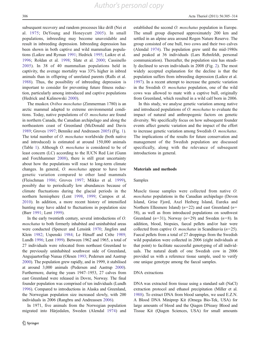subsequent recovery and random processes like drift (Nei et al. [1975](#page-11-0); DeYoung and Honeycutt [2005](#page-10-0)). In small populations, inbreeding may become unavoidable and result in inbreeding depression. Inbreeding depression has been shown in both captive and wild mammalian populations (Laikre and Ryman [1991](#page-10-0); Hedrick [1995;](#page-10-0) Laikre et al. [1996;](#page-10-0) Roldan et al. [1998;](#page-11-0) Slate et al. [2000;](#page-11-0) Cassinello [2005\)](#page-10-0). In 38 of 40 mammalian populations held in captivity, the average mortality was 33% higher in inbred animals than in offspring of unrelated parents (Ralls et al. [1988\)](#page-11-0). Thus, the possibility of inbreeding depression is important to consider for preventing future fitness reduction, particularly among introduced and captive populations (Hedrick and Kalinowski [2000\)](#page-10-0).

The muskox Ovibos moschatus (Zimmerman 1780) is an arctic mammal adapted to extreme environmental conditions. Today, native populations of O. moschatus are found in northern Canada, the Canadian archipelago and along the northeastern coast of Greenland (McDonald and Davis [1989;](#page-11-0) Groves [1997;](#page-10-0) Bennike and Andreasen [2005\)](#page-10-0) (Fig. [1](#page-4-0)). The total number of O. moschatus worldwide (both native and introduced) is estimated at around 150,000 animals (Table [1](#page-5-0)). Although O. moschatus is considered to be of least concern (LC) according to the IUCN Red List (Gunn and Forchhammer [2008\)](#page-10-0), there is still great uncertainty about how the populations will react to long-term climate changes. In general, O. moschatus appear to have low genetic variation compared to other land mammals (Fleischman [1986;](#page-10-0) Groves [1997](#page-10-0); Mikko et al. [1999](#page-11-0)), possibly due to periodically low abundances because of climate fluctuations during the glacial periods in the northern hemisphere (Lent [1998,](#page-10-0) [1999;](#page-10-0) Campos et al. [2010\)](#page-10-0). In addition, a more recent history of intensified hunting may have added to fluctuations in population size (Barr [1991;](#page-10-0) Lent [1999](#page-10-0)).

In the early twentieth century, several introductions of O. moschatus to both formerly inhabited and uninhabited areas were conducted (Spencer and Lensink [1970](#page-11-0); Jingfors and Klein [1982](#page-10-0); Uspenski [1984](#page-11-0); Le Hénaff and Crête [1989](#page-10-0); Lundh [1996;](#page-10-0) Lent [1999\)](#page-10-0). Between 1962 and 1965, a total of 27 individuals were relocated from northeast Greenland to the previously uninhabited southwest side of Greenland, Angujaartorfiup Nunaa (Olesen [1993;](#page-11-0) Pedersen and Aastrup [2000\)](#page-11-0). The population grew rapidly, and in 1999, it stabilised at around 3,000 animals (Pedersen and Aastrup [2000\)](#page-11-0). Furthermore, during the years 1947–1953, 27 calves from east Greenland were released in Dovre, Norway. The final founder population was comprised of ten individuals (Lundh [1996\)](#page-10-0). Compared to introductions in Alaska and Greenland, the Norwegian population size increased slowly, with 200 individuals in 2006 (Rangbru and Andreassen [2006](#page-11-0)).

In 1971, five animals from the Norwegian population migrated into Härjedalen, Sweden (Alendal [1974](#page-10-0)) and established the second O. moschatus population in Europe. The small group dispersed approximately 200 km and settled in an alpine area around Rogen Nature Reserve. The group consisted of one bull, two cows and their two calves (Alendal [1974\)](#page-10-0). The population grew until the mid-1980s and peaked at 36 individuals (Lars Rehnfeldt, personal communication). Thereafter, the population size has steadily declined to seven individuals in 2008 (Fig. [2\)](#page-5-0). The most widely accepted explanation for the decline is that the population suffers from inbreeding depression (Laikre et al. [1997](#page-10-0)). In a recent attempt to increase the genetic variation in the Swedish O. moschatus population, one of the wild cows was allowed to mate with a captive bull, originally from Greenland, which resulted in a wild calf born in 2006.

In this study, we analyse genetic variation among native and introduced populations of O. moschatus to evaluate the impact of natural and anthropogenic factors on genetic diversity. We specifically focus on how subsequent founder events affect genetic variation and the impact of the effort to increase genetic variation among Swedish O. moschatus. The implications of the results for future conservation and management of the Swedish population are discussed specifically, along with the relevance of subsequent introductions in general.

#### Materials and methods

#### Samples

Muscle tissue samples were collected from native O. moschatus populations in the Canadian archipelago (Devon Island, Grise Fjord, Axel Heiberg Island, Eureka and Northern Ellesmere Island) ( $n=22$ ) and east Greenland ( $n=$ 58), as well as from introduced populations on southwest Greenland  $(n=31)$ , Norway  $(n=29)$  and Sweden  $(n=8)$ . In addition, blood, biopsies, faecal pellets and/or hair were collected from captive *O. moschatus* in Scandinavia  $(n=25)$ . Faecal pellets from a total of 27 droppings from the Swedish wild population were collected in 2006 (eight individuals at that point) to facilitate successful genotyping of all individuals. The natural death of one Swedish cow in 2006 provided us with a reference tissue sample, used to verify one unique genotype among the faecal samples.

#### DNA extractions

DNA was extracted from tissue using a standard salt (NaCl) extraction protocol and ethanol precipitation (Miller et al. [1988\)](#page-11-0). To extract DNA from blood samples, we used E.Z.N. A Blood DNA Miniprep Kit (Omega Bio-Tek, USA) for large amounts of blood and the Qiagen DNeasy Blood and Tissue Kit (Qiagen Sciences, USA) for small amounts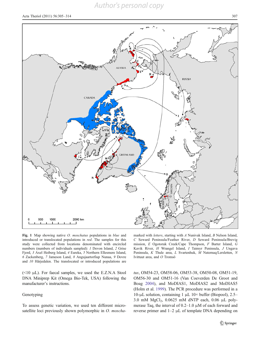C Seward Peninsula/Feather River, D Seward Peninsula/Brevig mission, E Ogotoruk Creek/Cape Thompson, F Barter Island, G Kavik River, H Wrangel Island, I Taimyr Peninsula, J Ungava Peninsula, K Thule area, L Svartenhuk, M Naternaq/Lersletten, N Ivittuut area, and O Tromsö

tus, OM54-23, OM58-06, OM53-38, OM50-08, OM51-19, OM56-30 and OM51-16 (Van Coeverden De Groot and Boag [2004\)](#page-11-0), and MoDIAS1, MoDIAS2 and MoDIAS5 (Holm et al. [1999\)](#page-10-0). The PCR procedure was performed in a 10-μL solution, containing 1 μL 10× buffer (Biopool), 2.5– 3.0 mM  $MgCl<sub>2</sub>$ , 0.0625 mM dNTP each, 0.06 µL polymerase Taq, the interval of 0.2–1.0 μM of each forward and reverse primer and 1–2 μL of template DNA depending on



( $\leq$ 10 μL). For faecal samples, we used the E.Z.N.A Stool DNA Miniprep Kit (Omega Bio-Tek, USA) following the manufacturer's instructions.

#### Genotyping

To assess genetic variation, we used ten different microsatellite loci previously shown polymorphic in O. moscha-

marked with letters, starting with A Nunivak Island, B Nelson Island,

<span id="page-4-0"></span>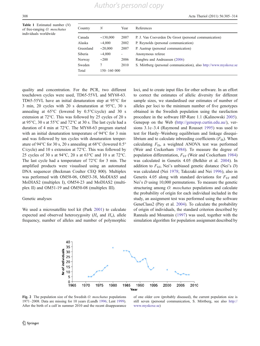<span id="page-5-0"></span>**Table 1** Estimated number  $(N)$ of free-ranging O. moschatus individuals worldwide

| Country<br>Ν<br>References<br>Year<br>Canada<br>P. J. Van Coeverden De Groot (personal communication)<br>~130,000<br>2007<br>Alaska<br>P. Reynolds (personal communication)<br>~1,000<br>2002<br>Greenland<br>P. Aastrup (personal communication)<br>2007<br>~20,000<br>Siberia<br>~1,000<br>Anonymous referee<br>٠<br>Rangbru and Andreassen (2006)<br>Norway<br>$\sim$ 200<br>2006<br>Sweden<br>2010<br>7<br>Total<br>150-160 000 |  |                                                                  |
|-------------------------------------------------------------------------------------------------------------------------------------------------------------------------------------------------------------------------------------------------------------------------------------------------------------------------------------------------------------------------------------------------------------------------------------|--|------------------------------------------------------------------|
|                                                                                                                                                                                                                                                                                                                                                                                                                                     |  |                                                                  |
|                                                                                                                                                                                                                                                                                                                                                                                                                                     |  |                                                                  |
|                                                                                                                                                                                                                                                                                                                                                                                                                                     |  |                                                                  |
|                                                                                                                                                                                                                                                                                                                                                                                                                                     |  |                                                                  |
|                                                                                                                                                                                                                                                                                                                                                                                                                                     |  |                                                                  |
|                                                                                                                                                                                                                                                                                                                                                                                                                                     |  |                                                                  |
|                                                                                                                                                                                                                                                                                                                                                                                                                                     |  | S. Mörtberg (personal communication), also http://www.myskoxe.se |
|                                                                                                                                                                                                                                                                                                                                                                                                                                     |  |                                                                  |

quality and concentration. For the PCR, two different touchdown cycles were used, TD65-55VL and MY68-63. TD65-55VL have an initial denaturation step at 95°C for 3 min, 20 cycles with 20 s denaturation at 95°C, 30 s annealing at 65°C (lowered by 0.5°C/cycle) and 30 s extension at 72°C. This was followed by 25 cycles of 20 s at 95°C, 30 s at 55°C and 72°C at 30 s. The last cycle had a duration of 4 min at 72°C. The MY68-63 program started with an initial denaturation temperature of 94°C for 3 min and was followed by ten cycles with denaturation temperature of 94°C for 30 s, 20 s annealing at 68°C (lowered 0.5° C/cycle) and 10 s extension at 72°C. This was followed by 25 cycles of 30 s at 94°C, 20 s at 63°C and 10 s at 72°C. The last cycle had a temperature of 72°C for 3 min. The amplified products were visualised using an automated DNA sequencer (Beckman Coulter CEQ 800). Multiplex was performed with OM58-06, OM53-38, MoDIAS5 and MoDIAS2 (multiplex I), OM54-23 and MoDIAS2 (multiplex II) and OM51-19 and OM50-08 (multiplex III).

#### Genetic analyses

We used a microsatellite tool kit (Park [2001](#page-11-0)) to calculate expected and observed heterozygosity  $(H_e$  and  $H_o$ ), allele frequency, number of alleles and number of polymorphic

loci, and to create input files for other software. In an effort to correct the estimates of allelic diversity for different sample sizes, we standardised our estimates of number of alleles per loci to the minimum number of five genotypes obtained in the Swedish population using the rarefaction procedure in the software HP-Rare 1.1 (Kalinowski [2005\)](#page-10-0). Genepop on the Web [\(http://genepop.curtin.edu.au/](http://genepop.curtin.edu.au/)), versions 3.1c–3.4 (Raymond and Rousset [1995](#page-11-0)) was used to test for Hardy–Weinberg equilibrium and linkage disequilibrium and to calculate inbreeding coefficients  $(F_{\text{IS}})$ . When calculating  $F_{IS}$ , a weighted ANOVA test was performed (Weir and Cockerham [1984](#page-11-0)). To measure the degree of population differentiation,  $F_{ST}$  (Weir and Cockerham [1984](#page-11-0)) was calculated in Genetix 4.05 (Belkhir et al. [2004\)](#page-10-0). In addition to  $F_{ST}$ , Nei's unbiased genetic distance (Nei's D) was calculated (Nei [1978;](#page-11-0) Takezaki and Nei [1996](#page-11-0)), also in Genetix 4.05 along with standard deviations for  $F_{ST}$  and Nei's *D* using 10,000 permutations. To measure the genetic structuring among *O. moschatus* populations and calculate the probability of origin for each individual included in the study, an assignment test was performed using the software GeneClass2 (Piry et al. [2004\)](#page-11-0). To calculate the probability of origin of individuals, the standard criterion described by Rannala and Mountain [\(1997](#page-11-0)) was used, together with the simulation algorithm for population assignment described by



Fig. 2 The population size of the Swedish O. moschatus populations 1971–2008. Data are missing for 10 years (Lundh [1996](#page-10-0); Lent [1999](#page-10-0)). After the birth of a calf in summer 2010 and the recent disappearance

of one older cow (probably diseased), the current population size is still seven (personal communication, S. Mörtberg, see also [http://](http://www.myskoxe.se) [www.myskoxe.se](http://www.myskoxe.se))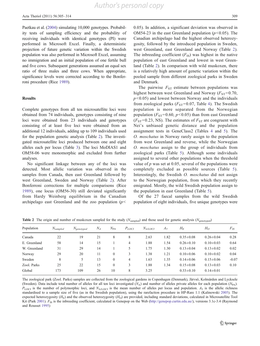<span id="page-6-0"></span>Paetkau et al. ([2004](#page-11-0)) simulating 10,000 genotypes. Probability tests of sampling efficiency and the probability of receiving individuals with identical genotypes (PI) were performed in Microsoft Excel. Finally, a deterministic projection of future genetic variation within the Swedish population was also performed in Microsoft Excel, assuming no immigration and an initial population of one fertile bull and five cows. Subsequent generations assumed an equal sex ratio of three males and three cows. When appropriate, significance levels were corrected according to the Bonferroni procedure (Rice [1989](#page-11-0)).

#### Results

Complete genotypes from all ten microsatellite loci were obtained from 74 individuals, genotypes consisting of nine loci were obtained from 23 individuals and genotypes consisting of at least five loci were obtained from an additional 12 individuals, adding up to 109 individuals used for the population genetic analysis (Table 2). The investigated microsatellite loci produced between one and eight alleles each per locus (Table [3\)](#page-7-0). The loci MoDIAS1 and OM58-06 were monomorphic and excluded from further analyses.

No significant linkage between any of the loci was detected. Most allelic variation was observed in the samples from Canada, then east Greenland followed by west Greenland, Sweden and Norway (Table 2). After Bonferroni corrections for multiple comparisons (Rice [1989](#page-11-0)), one locus (OM56-30) still deviated significantly from Hardy Weinberg equilibrium in the Canadian archipelago east Greenland and the zoo population  $(p<$ 

0.05). In addition, a significant deviation was observed in OM54-23 in the east Greenland population ( $p$ <0.05). The Canadian archipelago had the highest observed heterozygosity, followed by the introduced population in Sweden, west Greenland, east Greenland and Norway (Table 2). The inbreeding coefficient  $(F_{IS})$  was highest in the native population of east Greenland and lowest in west Greenland (Table 2). In comparison with wild muskoxen, there is a relatively high amount of genetic variation within the pooled sample from different zoological parks in Sweden and Denmark.

The pairwise  $F_{ST}$  estimate between populations was highest between west Greenland and Norway ( $F_{ST}=0.70$ ,  $p$ <0.05) and lowest between Norway and the individuals from zoological parks ( $F_{ST}$ =0.07, Table [4](#page-7-0)). The Swedish population is more separated from the Norwegian population ( $F_{ST}$ =0.60,  $p$ <0.05) than from east Greenland  $(F_{ST}=0.23, NS)$ . The estimates of  $F_{ST}$  are congruent with Nei's unbiased genetic distance and the population assignment tests in GeneClass2 (Tables [4](#page-7-0) and [5\)](#page-8-0). The O. moschatus in Norway rarely assign to the population from west Greenland and reverse, while the Norwegian O. moschatus assign to the group of individuals from zoological parks (Table [5](#page-8-0)). Although some individuals assigned to several other populations when the threshold value of  $p$  was set at 0.05, several of the populations were completely excluded as possible sources (Table [5](#page-8-0)). Interestingly, the Swedish O. moschatus did not assign to the Norwegian population, from which they recently emigrated. Mostly, the wild Swedish population assign to the population in east Greenland (Table [5](#page-8-0)).

Of the 27 faecal samples from the wild Swedish population of eight individuals, five unique genotypes were

| Population   | $N_{sampled}$ | $N_{\text{genotyped}}$ | $N_A$ | $N_{PA}$     | $P_{LOCI}$     | $N_{A/LOCI}$ | $A_5$ | $H_F$           | H <sub>O</sub>  | $F_{IS}$ |
|--------------|---------------|------------------------|-------|--------------|----------------|--------------|-------|-----------------|-----------------|----------|
| Canada       | 22            | 19                     | 21    | 8            | 8              | 2.63         | 1.82  | $0.35 \pm 0.08$ | $0.26 \pm 0.04$ | 0.28     |
| E. Greenland | 58            | 14                     | 15    |              | 4              | 1.88         | 1.54  | $0.26 \pm 0.10$ | $0.10 \pm 0.03$ | 0.64     |
| W. Greenland | 31            | 29                     | 14    |              | 5              | 1.75         | 1.30  | $0.13 \pm 0.04$ | $0.13 \pm 0.02$ | 0.02     |
| Norway       | 29            | 20                     | 11    | $\mathbf{0}$ | 3              | 1.38         | 1.21  | $0.10 \pm 0.06$ | $0.10\pm0.02$   | 0.04     |
| Sweden       | 8             | 5.                     | 13    | $\mathbf{0}$ | $\overline{4}$ | 1.63         | 1.35  | $0.14 \pm 0.06$ | $0.15 \pm 0.06$ | $-0.07$  |
| Zool. Parks  | 25            | 22                     | 15    | $\Omega$     | 3              | 1.88         | 1.34  | $0.15 \pm 0.08$ | $0.13 \pm 0.03$ | 0.10     |
| Global       | 173           | 109                    | 26    | 10           | 8              | 3.25         |       | $0.33 \pm 0.10$ | $0.14 \pm 0.01$ |          |

**Table 2** The origin and number of muskoxen sampled for the study ( $N_{sampled}$ ) and those used for genetic analysis ( $N_{genotvoed}$ )

The zoological park (Zool. Parks) samples are collected from the zoological gardens in Copenhagen (Denmark), Järvsö, Kolmården and Lycksele (Sweden). Data include total number of alleles for all ten loci investigated (N<sub>A</sub>) and number of alleles private alleles for each population (N<sub>PA</sub>).  $P_{\text{LOCI}}$  is the number of polymorphic loci, and  $N_{\text{ALOCI}}$  is the mean number of alleles per locus and population.  $A_5$  is the allelic richness standardised to a sample size of five (as in the Swedish population), using the rarefaction procedure in HP-Rare 1.1 (Kalinowski [2005](#page-10-0)). The expected heterozygosity  $(H_E)$  and the observed heterozygosity  $(H_O)$  are provided, including standard deviations, calculated in Microsatellite Tool Kit (Park [2001\)](#page-11-0).  $F_{1S}$  is the inbreeding coefficient, calculated in Genepop on the Web [\(http://genepop.curtin.edu.au/\)](http://genepop.curtin.edu.au/), versions 3.1c-3.4 (Raymond and Rousset [1995](#page-11-0))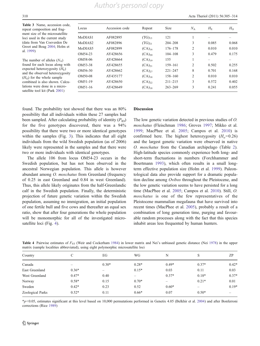*Author's personal copy*

<span id="page-7-0"></span>310 Acta Theriol (2011) 56:305–314

Table 3 Name, accession code, repeat composition and fragment size of the microsatellite loci used in the current study (data from Van Coeverden De Groot and Boag [2004;](#page-11-0) Holm et al. [1999\)](#page-10-0)

The number of alleles  $(N_A)$ found for each locus along with expected heterozygosity  $(H<sub>E</sub>)$ and the observed heterozygosity  $(H<sub>O</sub>)$  for the whole sample combined is also shown. Calculations were done in a microsatellite tool kit (Park [2001\)](#page-11-0)

| Locus               | Accession code | Repeat      | <b>Size</b> | $N_A$          | $H_{\rm E}$ | $H_{\rm O}$ |
|---------------------|----------------|-------------|-------------|----------------|-------------|-------------|
| MoDIAS1             | AF082895       | $(TG)_{13}$ | 121         | 1              |             |             |
| MoDIAS <sub>2</sub> | AF082896       | $(TG)_{21}$ | $204 - 208$ | 3              | 0.085       | 0.068       |
| MoDIAS5             | AF082899       | $(CA)_{16}$ | $176 - 178$ | $\overline{c}$ | 0.010       | 0.010       |
| OM54-23             | AY428656       | $(CA)_{20}$ | $104 - 108$ | 3              | 0.479       | 0.175       |
| OM58-06             | AY428664       | $(CA)_{19}$ | 155         | 1              |             |             |
| OM53-38             | AY428655       | $(CA)_{21}$ | $159 - 161$ | $\overline{2}$ | 0.502       | 0.255       |
| OM56-30             | AY428662       | $(CA)_{27}$ | $221 - 247$ | 8              | 0.701       | 0.168       |
| OM50-08             | AY435177       | $(CA)_{18}$ | $158 - 160$ | $\overline{2}$ | 0.010       | 0.010       |
| OM51-19             | AY428650       | $(CA)_{22}$ | $211 - 215$ | 3              | 0.572       | 0.402       |
| OM51-16             | AY428649       | $(CA)_{18}$ | $263 - 269$ | 3              | 0.241       | 0.055       |
|                     |                |             |             |                |             |             |

found. The probability test showed that there was an 80% possibility that all individuals within these 27 samples had been sampled. After calculating probability of identity  $(P_{ID})$ for the five genotypes discovered, there was a 94% possibility that there were two or more identical genotypes within the samples (Fig. [3\)](#page-8-0). This indicates that all eight individuals from the wild Swedish population (as of 2006) likely were represented in the samples and that there were two or more individuals with identical genotypes.

The allele 106 from locus OM54-23 occurs in the Swedish population, but has not been observed in the ancestral Norwegian population. This allele is however abundant among O. moschatus from Greenland (frequency of 0.25 in east Greenland and 0.84 in west Greenland). Thus, this allele likely originates from the half-Greenlandic calf in the Swedish population. Finally, the deterministic projection of future genetic variation within the Swedish population, assuming no immigration, an initial population of one fertile bull and five cows and thereafter an equal sex ratio, show that after four generations the whole population will be monomorphic for all of the investigated microsatellite loci (Fig. [4](#page-8-0)).

#### Discussion

The low genetic variation detected in previous studies of O. moschatus (Fleischman [1986](#page-10-0); Groves [1997](#page-10-0); Mikko et al. [1999](#page-11-0); MacPhee et al. [2005](#page-11-0); Campos et al. [2010\)](#page-10-0) is confirmed here. The highest heterozygosity  $(H<sub>o</sub>=0.26)$ and the largest genetic variation were observed in native O. moschatus from the Canadian archipelago (Table [2\)](#page-6-0). High-latitude species commonly experience both long- and short-term fluctuations in numbers (Forchhammer and Boertmann [1993\)](#page-10-0), which often results in a small longterm effective population size (Holm et al. [1999\)](#page-10-0). Paleontological data also provide support for a dramatic population decline among Ovibos throughout the Pleistocene, and the low genetic variation seems to have persisted for a long time (MacPhee et al. [2005](#page-11-0); Campos et al. [2010](#page-10-0)). Still, O. moschatus is one of the few representatives of the Pleistocene mammalian megafauna that have survived into recent times (MacPhee et al. [2005](#page-11-0)), probably a result of a combination of long generation time, purging and favourable random processes along with the fact that this species inhabit areas less frequented by human hunters.

| Country          | C       | EG      | WG                       | N                        | S                        | ZP                       |
|------------------|---------|---------|--------------------------|--------------------------|--------------------------|--------------------------|
| Canada           | –       | $0.30*$ | $0.28*$                  | $0.49*$                  | $0.37*$                  | $0.42*$                  |
| East Greenland   | $0.36*$ | —       | $0.15*$                  | 0.03                     | 0.11                     | 0.03                     |
| West Greenland   | $0.47*$ | 0.40    | $\overline{\phantom{0}}$ | $0.37*$                  | $0.18*$                  | $0.37*$                  |
| Norway           | $0.58*$ | 0.15    | $0.70*$                  | $\overline{\phantom{0}}$ | $0.21*$                  | 0.01                     |
| Sweden           | $0.42*$ | 0.23    | 0.52                     | $0.60*$                  | $\overline{\phantom{m}}$ | $0.19*$                  |
| Zoological Parks | $0.52*$ | 0.11    | $0.66*$                  | 0.07                     | $0.50*$                  | $\overline{\phantom{0}}$ |
|                  |         |         |                          |                          |                          |                          |

Table 4 Pairwise estimates of  $F_{ST}$  (Weir and Cockerham [1984](#page-11-0)) in lower matrix and Nei's unbiased genetic distance (Nei [1978](#page-11-0)) in the upper matrix (sample localities abbreviated), using eight polymorphic microsatellite loci

 $\frac{*p}{0.05}$ , estimates significant at this level based on 10,000 permutations performed in Genetix 4.05 (Belkhir et al. [2004\)](#page-10-0) and after Bonferroni corrections (Rice [1989\)](#page-11-0)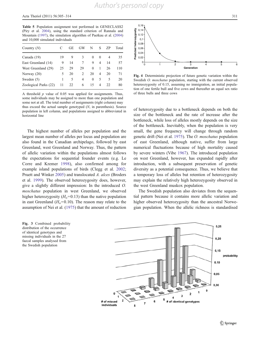<span id="page-8-0"></span>Table 5 Population assignment test performed in GENECLASS2 (Piry et al. [2004\)](#page-11-0), using the standard criterion of Rannala and Mountain [\(1997](#page-11-0)), the simulation algorithm of Paetkau et al. ([2004](#page-11-0)) and 10,000 simulated individuals

| Country $(N)$         |    | GЕ | GW             | N        | S              | 7P | Total |
|-----------------------|----|----|----------------|----------|----------------|----|-------|
| Canada (19)           | 19 | 9  | 3              | 0        | $\theta$       | 4  | 35    |
| East Greenland (14)   | 9  | 14 | 7              | 9        | $\overline{4}$ | 14 | 57    |
| West Greenland (29)   | 25 | 29 | 29             | $\theta$ | 1              | 26 | 110   |
| Norway $(20)$         | 5  | 20 | $\mathfrak{D}$ | 20       | 4              | 20 | 71    |
| Sweden $(5)$          | 1  | 5  | 4              | $\Omega$ | 5              | 5  | 20    |
| Zoological Parks (22) | 11 | 22 | 6              | 15       | 4              | 22 | 80    |

A threshold  $p$  value of 0.05 was applied for assignments. Thus, some individuals may be assigned to more than one population and some not at all. The total number of assignments (right column) may thus exceed the actual sample genotyped  $(N, \text{ in parentheses})$ . Source population in left column, and populations assigned to abbreviated in horizontal line

The highest number of alleles per population and the largest mean number of alleles per locus and population are also found in the Canadian archipelago, followed by east Greenland, west Greenland and Norway. Thus, the pattern of allelic variation within the populations almost follows the expectations for sequential founder events (e.g. Le Corre and Kremer [1998\)](#page-10-0), also confirmed among for example island populations of birds (Clegg et al. [2002](#page-10-0); Pruett and Winker [2005\)](#page-11-0) and translocated A. alces (Broders et al. [1999](#page-10-0)). The observed heterozygosity does, however, give a slightly different impression: In the introduced O. moschatus population in west Greenland, we observed higher heterozygosity  $(H<sub>o</sub>=0.13)$  than the native population in east Greenland ( $H<sub>o</sub>=0.10$ ). The reason may relate to the assumption of Nei et al. [\(1975](#page-11-0)) that the amount of reduction





Fig. 4 Deterministic projection of future genetic variation within the Swedish *O. moschatus* population, starting with the current observed hetereozygosity of 0.15, assuming no immigration, an initial population of one fertile bull and five cows and thereafter an equal sex ratio of three bulls and three cows

of heterozygosity due to a bottleneck depends on both the size of the bottleneck and the rate of increase after the bottleneck, while loss of alleles mostly depends on the size of the bottleneck. Inevitably, when the population is very small, the gene frequency will change through random genetic drift (Nei et al. [1975\)](#page-11-0). The O. moschatus population of east Greenland, although native, suffer from large numerical fluctuations because of high mortality caused by severe winters (Vibe [1967](#page-11-0)). The introduced population on west Greenland, however, has expanded rapidly after introduction, with a subsequent preservation of genetic diversity as a potential consequence. Thus, we believe that a temporary loss of alleles but retention of heterozygosity may explain the relatively high heterozygosity observed in the west Greenland muskox population.

The Swedish population also deviates from the sequential pattern because it contains more allelic variation and higher observed heterozygosity than the ancestral Norwegian population. When the allelic richness is standardised

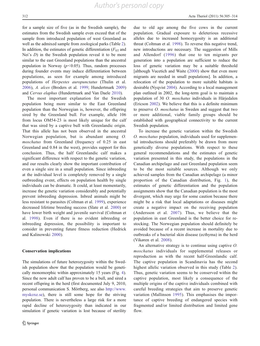for a sample size of five (as in the Swedish sample), the estimates from the Swedish sample even exceed that of the sample from introduced population of west Greenland as well as the admixed sample from zoological parks (Table [2](#page-6-0)). In addition, the estimates of genetic differentiation  $(F_{ST}$  and Nei's D) in the Swedish population reveal it to be more similar to the east Greenland populations than the ancestral population in Norway  $(p<0.05)$ . Thus, random processes during founder events may induce differentiation between populations, as seen for example among introduced populations of Herpestes auropunctatus (Thulin et al. [2006\)](#page-11-0), A. alces (Broders et al. [1999](#page-10-0); Hundertmark [2009\)](#page-10-0) and Cervus elaphus (Hundertmark and Van Daele [2010](#page-10-0)).

The most important explanation for the Swedish population being more similar to the East Greenland population than the Norwegian is, however, the offspring sired by the Greenland bull. For example, allele 106 from locus OM54-23 is most likely unique for the calf that was sired by a captive bull with Greenlandic origin. That this allele has not been observed in the ancestral Norwegian population, but is abundant among O. moschatus from Greenland (frequency of 0.25 in east Greenland and 0.84 in the west), provides support for this conclusion. Thus, the half Greenlandic calf makes a significant difference with respect to the genetic variation, and our results clearly show the important contribution of even a single sire in a small population. Since inbreeding at the individual level is completely removed by a single outbreeding event, effects on population health by single individuals can be dramatic. It could, at least momentarily, increase the genetic variation considerably and potentially prevent inbreeding depression. Inbred animals might be less resistant to parasites (Coltman et al. [1999](#page-10-0)), experience decreased lifetime breeding success (Slate et al. [2000\)](#page-11-0) or have lower birth weight and juvenile survival (Coltman et al. [1998\)](#page-10-0). Even if there is no evident inbreeding or inbreeding depression, the possibility is important to consider in preventing future fitness reduction (Hedrick and Kalinowski [2000](#page-10-0)).

#### Conservation implications

The simulations of future heterozygosity within the Swedish population show that the population would be genetically monomorphic within approximately 15 years (Fig. [4](#page-8-0)). Since the now adult calf has proven to be a bull, and sired a recent offspring in the herd (first documented July 9, 2010, personal communication S. Mörtberg, see also [http://www.](http://www.myskoxe.se) [myskoxe.se\)](http://www.myskoxe.se), there is still some hope for the striving population. There is nevertheless a large risk for a more rapid decline of heterozygosity than indicated in our simulation if genetic variation is lost because of sterility due to old age among the five cows in the current population. Gradual exposure to deleterious recessive alleles due to increased homozygosity is an additional threat (Coltman et al. [1998](#page-10-0)). To reverse this negative trend, new introductions are necessary. The suggestion of Mills and Allendorf ([1996\)](#page-11-0) that one to ten migrants per generation into a population are sufficient to reduce the loss of genetic variation may be a suitable threshold [although Vucetich and Waite ([2000\)](#page-11-0) show that even more migrants are needed in small populations]. In addition, a relocation of the population to more suitable habitats is desirable (Nyqvist [2004\)](#page-11-0). According to a local management plan outlined in 2002, the long-term goal is to maintain a population of 30 O. moschatus individuals in Härjedalen (Ericson [2002\)](#page-10-0). We believe that this is a definite minimum to preserve O. moschatus in Sweden and suggest that two or more additional, viable family groups should be established with geographical connectivity to the current Swedish population.

To increase the genetic variation within the Swedish O. moschatus population, individuals used for supplemental introductions should preferably be drawn from more genetically diverse populations. With respect to these general recommendations and the estimates of genetic variation presented in this study, the populations in the Canadian archipelago and east Greenland population seem to be the most suitable sources. Although we only achieved samples from the Canadian archipelago (a minor proportion of the Canadian distribution, Fig. [1](#page-4-0)), the estimates of genetic differentiation and the population assignments show that the Canadian population is the most divergent, which may urge for some caution because there might be a risk that local adaptations or diseases might create a negative impact on the receiving population (Andersson et al. [2007](#page-10-0)). Thus, we believe that the population in east Greenland is the better choice for restocking. The Norwegian population should definitely be avoided because of a recent increase in mortality due to outbreaks of a bacterial skin disease (ecthyma) in the herd (Vikøren et al. [2008](#page-11-0)).

An alternative strategy is to continue using captive O. moschatus individuals for supplemental releases or reproduction as with the recent half-Greenlandic calf. The captive population in Scandinavia has the second highest allelic variation observed in this study (Table [2](#page-6-0)). Thus, genetic variation seems to be conserved within the captive population, most likely a consequence of the multiple origins of the captive individuals combined with careful breeding strategies that aim to preserve genetic variation (Mallinson [1995](#page-10-0)). This emphasises the importance of captive breeding of endangered species with fragmented and/or limited distribution and limited gene flow.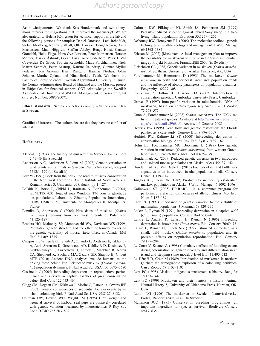<span id="page-10-0"></span>Acknowledgements We thank Kris Hundertmark and two anonymous referees for suggestions that improved the manuscript. We are also grateful to Helena Königsson for technical support in the lab and the following persons for samples: Daniel Ottosson, Lars Rehnfeldt, Stefan Mörtberg, Ronny Stålfjäll, Olle Larsson, Bengt Röken, Anna Martinsson, Mats Höggren, Staffan Åkeby, Bengt Holst, Carsten Grøndahl, Helle Flaga, Hans-Ove Larsson, Peter Mortensen, Torsten Mörner, Jessica Åsbrink, Göran Frisk, Arne Söderberg, Peter J. Van Coeverden De Groot, Patricia Reynolds, Mads Forchhammer, Niels Martin Schmidt, Peter Aastrup, Katrine Raundrup, Gunnar Mylius Pedersen, Jon Arnemo, Bjørn Rangbru, Bjørnar Ytrehus, Johan Schulze, Marthe Opland and Nina Brekke Tvedt. We thank the Faculty of Forest Sciences, Swedish Agricultural University in Umeå, the County Administration Board of Jämtland and the Muskox project in Härjedalen for financial support. CGT acknowledge the Swedish Association of Hunting and Wildlife Management for research grant (Project Number: 5880/2007).

Ethical standards Sample collections comply with the current law in Sweden.

Conflict of interest The authors declare that they have no conflict of interest.

#### References

- Alendal E (1974) The history of muskoxen in Sweden. Fauna Flora 2:41–46 [In Swedish]
- Andersson A-C, Andersson S, Lönn M (2007) Genetic variation in wild plants and animals in Sweden. Naturvårdsverket, Rapport 5712:1–179 (in Swedish)
- Barr W (1991) Back from the brink: the road to muskox conservation in the Northwest Territories. Arctic Institute of North America, Komatik series 3, University of Calgary, pp 1–127
- Belkhir K, Borsa P, Chikhi L, Raufaste N, Bonhomme F (2004) GENETIX 4.05, logiciel sous Windows TM pour la génétique des populations. Laboratoire Génome, Populations, Interactions, CNRS UMR 5171, Université de Montpellier II, Montpellier, France
- Bennike O, Andreasen C (2005) New dates of musk-ox (Ovibos moschatus) remains from northwest Greenland. Polar Rec  $41.125 - 129$
- Broders HG, Mahoney SP, Montevecchi WA, Davidson WS (1999) Population genetic structure and the effect of founder events on the genetic variability of moose, Alces alces, in Canada. Mol Ecol 8:1309–1315
- Campos PF, Willerslev E, Sherb A, Orlando L, Axelsson E, Tikhonov A, Aaris-Sørensen K, Greenwood AD, Kahlke R-D, Kosintsev P, Krakhmalnaya T, Kuznetsova T, Lemey P, MacPhee R, Norris CA, Shepherd K, Suchard MA, Zazula GD, Shapiro B, Gilbert MTP (2010) Ancient DNA analyses exclude humans as the driving force behind late Pleistocene musk ox (Ovibos moschatus) population dynamics. P Natl Acad Sci USA 107:5675–5680
- Cassinello J (2005) Inbreeding depression on reproductiove performance and survival in captive gazelles of great conservation value. Biol Cons 122:453–464
- Clegg SM, Degnan SM, Kikkawa J, Moritz C, Estoup A, Owens IPF (2002) Genetic consequences of sequential founder events by an island-colonizing bird. P Natl Acad Sci USA 99:8127–8132
- Coltman DW, Bowen WD, Wright JM (1998) Birth weight and neonatal survival of harbour seal pups are positively correlated with genetic variation measured by microsatellites. P Roy Soc Lond B BIO 265:803–809
- Coltman DW, Pilkington JG, Smith JA, Pemberton JM (1999) Parasite-mediated selection against inbred Soay sheep in a freeliving, island population. Evolution 53:1259–1267
- DeYoung RW, Honeycutt RL (2005) The molecular toolbox: genetic techniques in wildlife ecology and management. J Wildl Manage 69:1362–1384
- Ericson M (2002) [Muskoxen. A local management plan to improve the possibility for muskoxens to survive in the Swedish mountain range]. Projekt Myskoxe, Framtidsfjäll 2000 (in Swedish)
- Fleischman CL (1986) Genetic variation in muskoxen (Ovibos moschatus). M.Sc. thesis, University of Alaska, Fairbanks, AK, USA
- Forchhammer M, Boertmann D (1993) The muskoxen Ovibos moschatus in north and northeast Greenland: population trends and the influence of abiotic parameters on population dynamics. Ecography 16:299–308
- Frankham R, Ballou JD, Briscoe DA (2002) Introduction to conservation genetics. Cambridge University Press, Cambridge
- Groves P (1997) Intraspecific variation in mitochondrial DNA of muskoxen, based on control-region sequences. Can J Zoolog 75:568–575
- Gunn A, Forchhammer M (2008) Ovibos moschatus. The IUCN red list of threatened species. Available at [http://www.iucnredlist.org/](http://www.iucnredlist.org/apps/redlist/details/29684/0) [apps/redlist/details/29684/0.](http://www.iucnredlist.org/apps/redlist/details/29684/0) Accessed 6 October 2008
- Hedrick PW (1995) Gene flow and genetic restoration: the Florida panther as a case study. Conserv Biol 9:996–1007
- Hedrick PW, Kalinowski ST (2000) Inbreeeding depression in conservation biology. Annu Rev Ecol Syst 31:139–162
- Holm LE, Forchhammer MC, Boomsma JJ (1999) Low genetic variation in muskoxen (Ovibos moschatus) from western Greenland using microsatellites. Mol Ecol 8:675–679
- Hundertmark KJ (2009) Reduced genetic diversity in two introduced and isolated moose populations in Alaska. Alces 45:137–142
- Hundertmark KJ, Van Daele LJ (2010) Founder effect and bottleneck signatures in an introduced, insular population of elk. Conserv Genet 11:139–147
- Jingfors KT, Klein DR (1982) Productivity in recently established muskox populations in Alaska. J Wildl Manage 46:1092–1096
- Kalinowski ST (2005) HP-RARE 1.0: a computer program for performing rarefaction on measures of allelic richness. Mol Ecol Notes 5:187–189
- Lacy RC (1997) Importance of genetic variation to the viability of mammalian populations. J Mammal 78:320–335
- Laikre L, Ryman N (1991) Inbreeding depression in a captive wolf (Canis lupus) population. Conserv Biol 5:33–40
- Laikre L, Andrén R, Larsson H, Ryman N (1996) Inbreeding depression in brown bear Ursus arctos. Biol Conserv 76:69–72
- Laikre L, Ryman N, Lundh NG (1997) Estimated inbreeding in a small, wild muskox *Ovibos moschatus* population and its possible effects on population reproduction. Biol Conserv 79:197–204
- Le Corre V, Kremer A (1998) Cumulative effects of founding events during colonisation on genetic diversity and differentiation in an island and stepping-stone model. J Evol Biol 11:495–512
- Le Hénaff D, Crête M (1989) Introduction of muskoxen in northern Quebec: the demographic explosion of a colonizing herbivore. Can J Zoolog 67:1102–1105
- Lent PC (1998) Alaska's indigenous muskoxen: a history. Rangifer 18:133–144
- Lent PC (1999) Muskoxen and their hunters: a history. Animal Natural History 5, University of Oklahoma Press, Norman, OK, USA
- Lundh NG (1996) The muskoxen in Sweden. Naturvårdsverket Förlag, Rapport 4545:1–142 [In Swedish]
- Mallinson JCC (1995) Conservation breeding programmes: an important ingredient for species survival. Biodivers Conserv 4:617–635